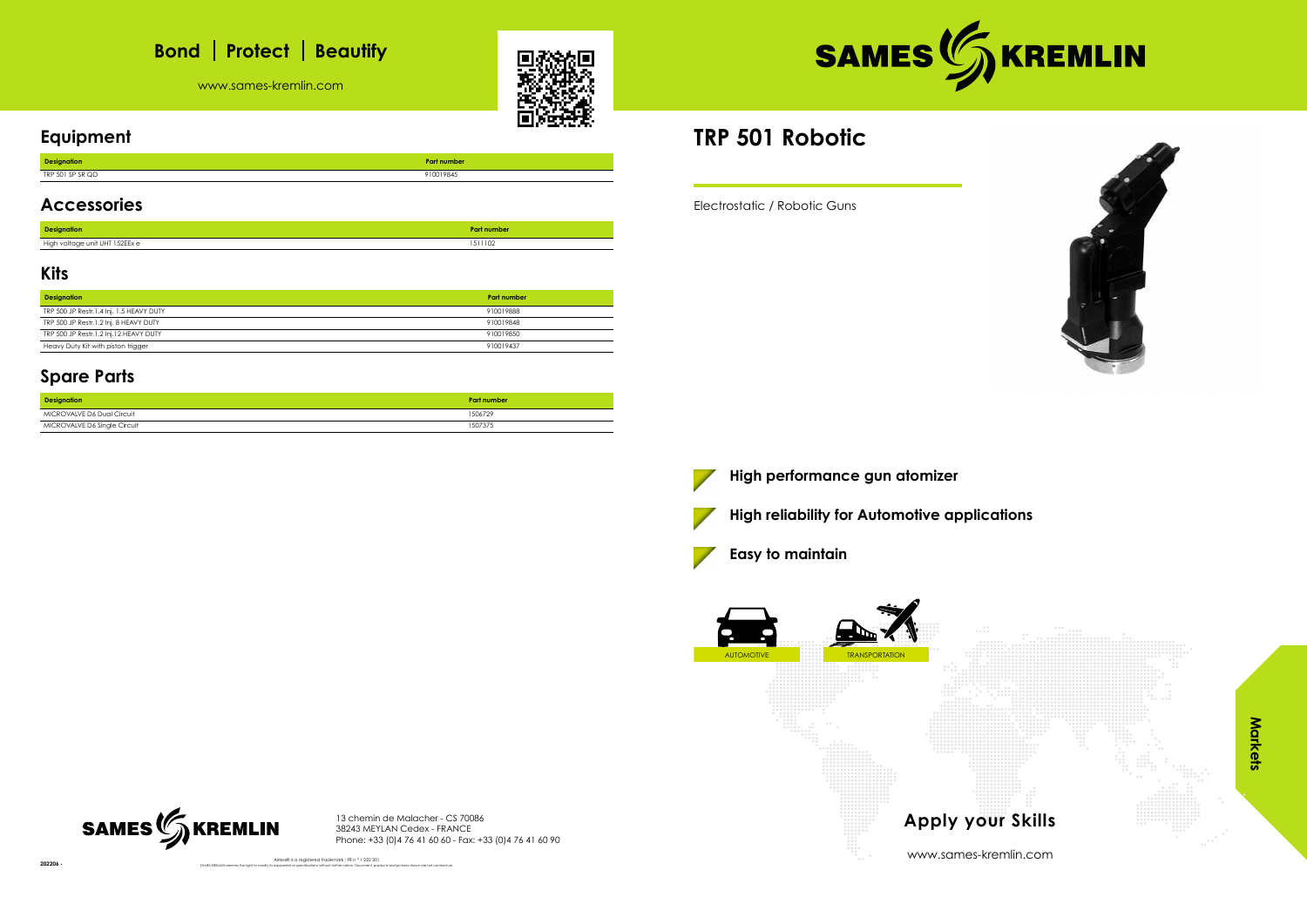# **Bond** | Protect | Beautify

www.sames-kremlin.com





### **Equipment**

| <b>Designation</b>                |           |
|-----------------------------------|-----------|
| 1.000000<br><b>TDD</b><br>∍ אל ש∟ | 910019845 |

#### **Accessories**

| <b>Designation</b>             | Part number |
|--------------------------------|-------------|
| High voltage unit UHT 152EEx e | 1511102     |

#### **Kits**

| <b>Designation</b>                       | <b>Part number</b> |
|------------------------------------------|--------------------|
| TRP 500 JP Restr.1.4 Inj. 1.5 HEAVY DUTY | 910019888          |
| TRP 500 JP Restr.1.2 Inj. 8 HEAVY DUTY   | 910019848          |
| TRP 500 JP Restr.1.2 Inj.12 HEAVY DUTY   | 910019850          |
| Heavy Duty Kit with piston trigger       | 910019437          |

Airless® is a registered trademark : FR n ° 1 222 301 SAMES KREMLIN reserves the right to modify its equipment or specifications without further notice. Document, products and pictures shown are not contractual.



#### **Spare Parts**

| <b>Designation</b>           | Part number |
|------------------------------|-------------|
| MICROVALVE D6 Dual Circuit   | 1506729     |
| MICROVALVE D6 Single Circuit | 1507375     |

13 chemin de Malacher - CS 70086 38243 MEYLAN Cedex - FRANCE Phone: +33 (0)4 76 41 60 60 - Fax: +33 (0)4 76 41 60 90

## **TRP 501 Robotic**